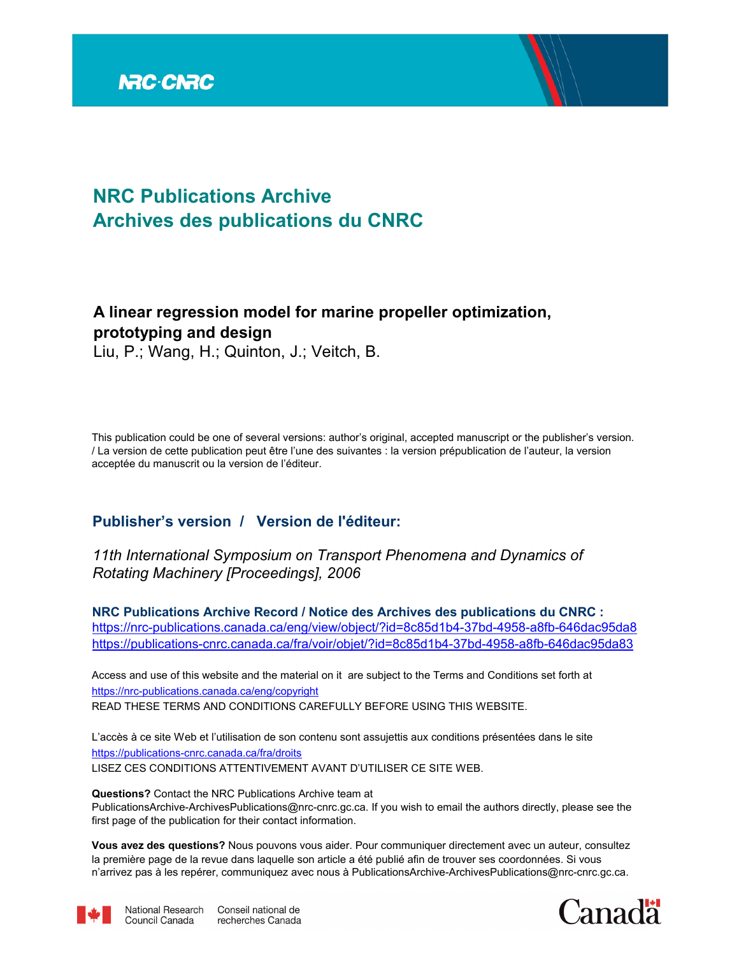

# **NRC Publications Archive Archives des publications du CNRC**

# **A linear regression model for marine propeller optimization, prototyping and design**

Liu, P.; Wang, H.; Quinton, J.; Veitch, B.

This publication could be one of several versions: author's original, accepted manuscript or the publisher's version. / La version de cette publication peut être l'une des suivantes : la version prépublication de l'auteur, la version acceptée du manuscrit ou la version de l'éditeur.

# **Publisher's version / Version de l'éditeur:**

*11th International Symposium on Transport Phenomena and Dynamics of Rotating Machinery [Proceedings], 2006*

**NRC Publications Archive Record / Notice des Archives des publications du CNRC :** https://nrc-publications.canada.ca/eng/view/object/?id=8c85d1b4-37bd-4958-a8fb-646dac95da83 https://publications-cnrc.canada.ca/fra/voir/objet/?id=8c85d1b4-37bd-4958-a8fb-646dac95da83

READ THESE TERMS AND CONDITIONS CAREFULLY BEFORE USING THIS WEBSITE. https://nrc-publications.canada.ca/eng/copyright Access and use of this website and the material on it are subject to the Terms and Conditions set forth at

https://publications-cnrc.canada.ca/fra/droits L'accès à ce site Web et l'utilisation de son contenu sont assujettis aux conditions présentées dans le site LISEZ CES CONDITIONS ATTENTIVEMENT AVANT D'UTILISER CE SITE WEB.

**Questions?** Contact the NRC Publications Archive team at

PublicationsArchive-ArchivesPublications@nrc-cnrc.gc.ca. If you wish to email the authors directly, please see the first page of the publication for their contact information.

**Vous avez des questions?** Nous pouvons vous aider. Pour communiquer directement avec un auteur, consultez la première page de la revue dans laquelle son article a été publié afin de trouver ses coordonnées. Si vous n'arrivez pas à les repérer, communiquez avec nous à PublicationsArchive-ArchivesPublications@nrc-cnrc.gc.ca.



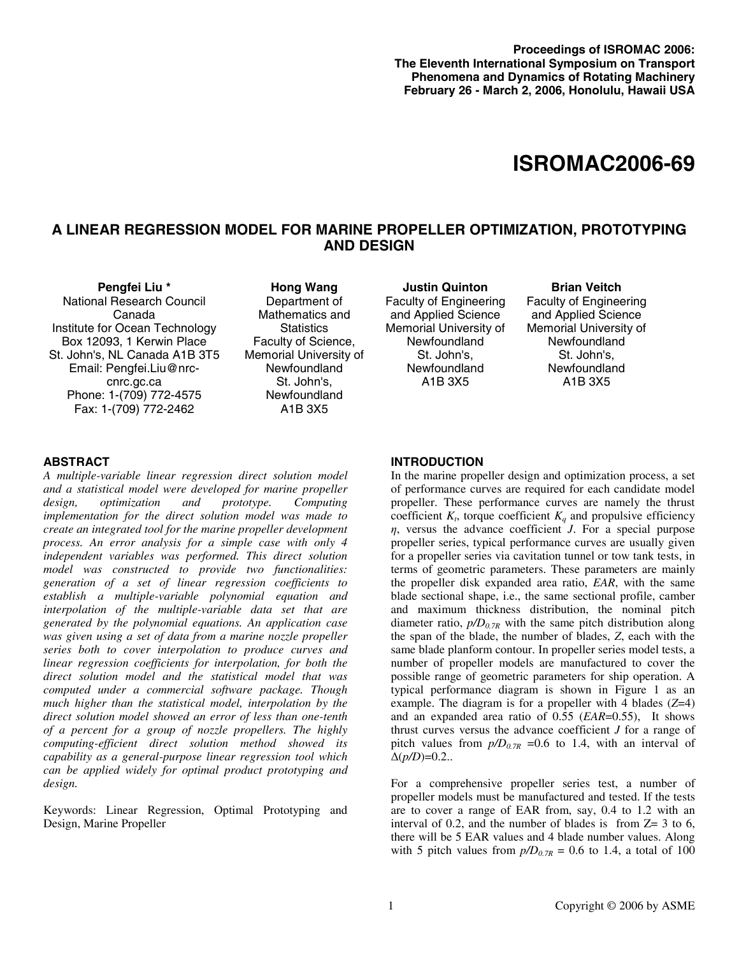### **Proceedings of ISROMAC 2006: The Eleventh International Symposium on Transport Phenomena and Dynamics of Rotating Machinery February 26 - March 2, 2006, Honolulu, Hawaii USA**

# **ISROMAC2006-69**

# **A LINEAR REGRESSION MODEL FOR MARINE PROPELLER OPTIMIZATION, PROTOTYPING AND DESIGN**

**Pengfei Liu \***  National Research Council Canada Institute for Ocean Technology Box 12093, 1 Kerwin Place St. John's, NL Canada A1B 3T5 Email: Pengfei.Liu@nrccnrc.gc.ca Phone: 1-(709) 772-4575 Fax: 1-(709) 772-2462

**Hong Wang**  Department of Mathematics and **Statistics** Faculty of Science, Memorial University of Newfoundland St. John's, Newfoundland A1B 3X5

**Justin Quinton**  Faculty of Engineering and Applied Science Memorial University of Newfoundland St. John's, Newfoundland A1B 3X5

**Brian Veitch**  Faculty of Engineering and Applied Science Memorial University of Newfoundland St. John's, Newfoundland A1B 3X5

## **ABSTRACT**

*A multiple-variable linear regression direct solution model and a statistical model were developed for marine propeller design, optimization and prototype. Computing implementation for the direct solution model was made to create an integrated tool for the marine propeller development process. An error analysis for a simple case with only 4 independent variables was performed. This direct solution model was constructed to provide two functionalities: generation of a set of linear regression coefficients to establish a multiple-variable polynomial equation and interpolation of the multiple-variable data set that are generated by the polynomial equations. An application case was given using a set of data from a marine nozzle propeller series both to cover interpolation to produce curves and linear regression coefficients for interpolation, for both the direct solution model and the statistical model that was computed under a commercial software package. Though much higher than the statistical model, interpolation by the direct solution model showed an error of less than one-tenth of a percent for a group of nozzle propellers. The highly computing-efficient direct solution method showed its capability as a general-purpose linear regression tool which can be applied widely for optimal product prototyping and design.* 

Keywords: Linear Regression, Optimal Prototyping and Design, Marine Propeller

# **INTRODUCTION**

In the marine propeller design and optimization process, a set of performance curves are required for each candidate model propeller. These performance curves are namely the thrust coefficient  $K_t$ , torque coefficient  $K_q$  and propulsive efficiency *η*, versus the advance coefficient *J*. For a special purpose propeller series, typical performance curves are usually given for a propeller series via cavitation tunnel or tow tank tests, in terms of geometric parameters. These parameters are mainly the propeller disk expanded area ratio, *EAR*, with the same blade sectional shape, i.e., the same sectional profile, camber and maximum thickness distribution, the nominal pitch diameter ratio, *p/D0.7R* with the same pitch distribution along the span of the blade, the number of blades, *Z*, each with the same blade planform contour. In propeller series model tests, a number of propeller models are manufactured to cover the possible range of geometric parameters for ship operation. A typical performance diagram is shown in Figure 1 as an example. The diagram is for a propeller with 4 blades (*Z*=4) and an expanded area ratio of 0.55 (*EAR*=0.55), It shows thrust curves versus the advance coefficient *J* for a range of pitch values from  $p/D_{0.7R}$  =0.6 to 1.4, with an interval of  $\Delta(p/D)=0.2...$ 

For a comprehensive propeller series test, a number of propeller models must be manufactured and tested. If the tests are to cover a range of EAR from, say, 0.4 to 1.2 with an interval of 0.2, and the number of blades is from  $Z=$  3 to 6, there will be 5 EAR values and 4 blade number values. Along with 5 pitch values from  $p/D_{0.7R} = 0.6$  to 1.4, a total of 100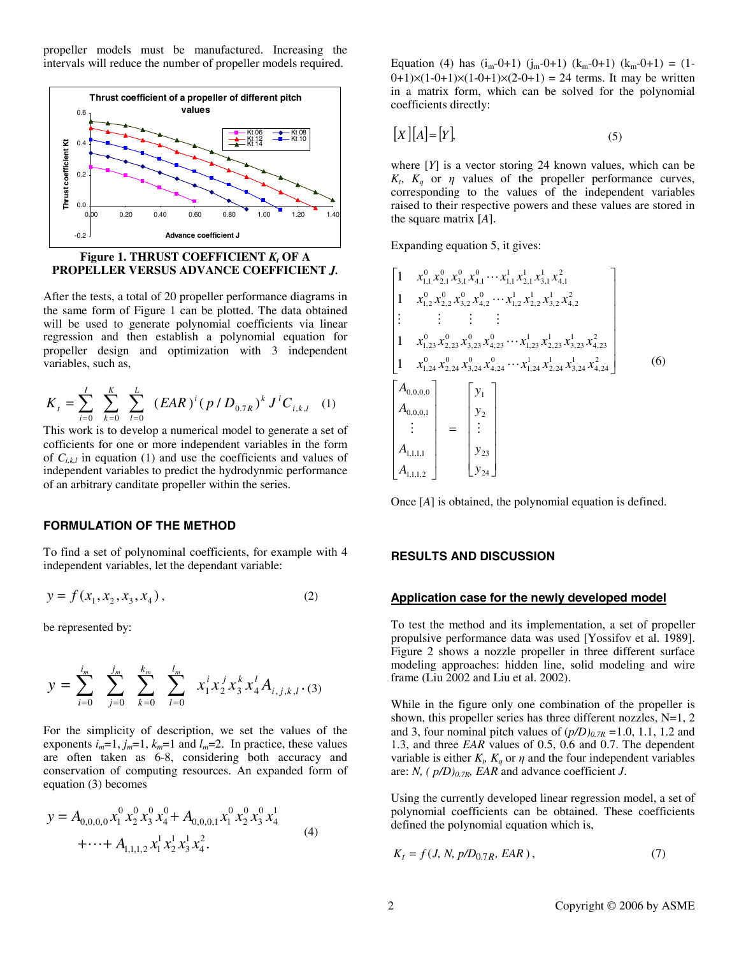propeller models must be manufactured. Increasing the intervals will reduce the number of propeller models required.



**Figure 1. THRUST COEFFICIENT** *K<sup>t</sup>*  **OF A PROPELLER VERSUS ADVANCE COEFFICIENT** *J.* 

After the tests, a total of 20 propeller performance diagrams in the same form of Figure 1 can be plotted. The data obtained will be used to generate polynomial coefficients via linear regression and then establish a polynomial equation for propeller design and optimization with 3 independent variables, such as,

$$
K_{t} = \sum_{i=0}^{I} \sum_{k=0}^{K} \sum_{l=0}^{L} (EAR)^{i} (p / D_{0.7R})^{k} J^{l} C_{i,k,l} (1)
$$

This work is to develop a numerical model to generate a set of cofficients for one or more independent variables in the form of  $C_{i,kl}$  in equation (1) and use the coefficients and values of independent variables to predict the hydrodynmic performance of an arbitrary canditate propeller within the series.

#### **FORMULATION OF THE METHOD**

To find a set of polynominal coefficients, for example with 4 independent variables, let the dependant variable:

$$
y = f(x_1, x_2, x_3, x_4), \tag{2}
$$

be represented by:

$$
y = \sum_{i=0}^{i_m} \sum_{j=0}^{j_m} \sum_{k=0}^{k_m} \sum_{l=0}^{l_m} x_1^i x_2^j x_3^k x_4^l A_{i,j,k,l} (3)
$$

For the simplicity of description, we set the values of the exponents  $i_m=1$ ,  $j_m=1$ ,  $k_m=1$  and  $l_m=2$ . In practice, these values are often taken as 6-8, considering both accuracy and conservation of computing resources. An expanded form of equation (3) becomes

$$
y = A_{0,0,0,0} x_1^0 x_2^0 x_3^0 x_4^0 + A_{0,0,0,1} x_1^0 x_2^0 x_3^0 x_4^1 + \dots + A_{1,1,1,2} x_1^1 x_2^1 x_3^1 x_4^2.
$$
 (4)

Equation (4) has  $(i_m-0+1)$   $(j_m-0+1)$   $(k_m-0+1)$   $(k_m-0+1) = (1 (0+1)\times(1-0+1)\times(1-0+1)\times(2-0+1) = 24$  terms. It may be written in a matrix form, which can be solved for the polynomial coefficients directly:

$$
[X][A] = [Y],\tag{5}
$$

where [*Y*] is a vector storing 24 known values, which can be  $K_t$ ,  $K_q$  or  $\eta$  values of the propeller performance curves, corresponding to the values of the independent variables raised to their respective powers and these values are stored in the square matrix [*A*].

Expanding equation 5, it gives:

$$
\begin{bmatrix}\n1 & x_{1,1}^{0} x_{2,1}^{0} x_{3,1}^{0} x_{4,1}^{0} \cdots x_{1,1}^{1} x_{2,1}^{1} x_{3,1}^{1} x_{4,1}^{2} \\
1 & x_{1,2}^{0} x_{2,2}^{0} x_{3,2}^{0} x_{4,2}^{0} \cdots x_{1,2}^{1} x_{2,2}^{1} x_{3,2}^{1} x_{4,2}^{2} \\
\vdots & \vdots & \vdots & \vdots \\
1 & x_{1,23}^{0} x_{2,23}^{0} x_{3,23}^{0} x_{4,23}^{0} \cdots x_{1,23}^{1} x_{2,23}^{1} x_{3,23}^{1} x_{4,23}^{2} \\
1 & x_{1,24}^{0} x_{2,24}^{0} x_{3,24}^{0} x_{4,24}^{0} \cdots x_{1,24}^{1} x_{2,24}^{1} x_{3,24}^{1} x_{4,24}^{2}\n\end{bmatrix}
$$
\n
$$
\begin{bmatrix}\nA_{0,0,0,0} \\
A_{0,0,0,1} \\
\vdots \\
A_{1,1,1,1} \\
A_{1,1,1,2}\n\end{bmatrix} =\n\begin{bmatrix}\ny_1 \\
y_2 \\
\vdots \\
y_{23} \\
y_{24}\n\end{bmatrix}
$$
\n(6)

Once [*A*] is obtained, the polynomial equation is defined.

#### **RESULTS AND DISCUSSION**

#### **Application case for the newly developed model**

To test the method and its implementation, a set of propeller propulsive performance data was used [Yossifov et al. 1989]. Figure 2 shows a nozzle propeller in three different surface modeling approaches: hidden line, solid modeling and wire frame (Liu 2002 and Liu et al. 2002).

While in the figure only one combination of the propeller is shown, this propeller series has three different nozzles, N=1, 2 and 3, four nominal pitch values of  $(p/D)_{0.7R} = 1.0, 1.1, 1.2$  and 1.3, and three *EAR* values of 0.5, 0.6 and 0.7. The dependent variable is either  $K_t$ ,  $K_q$  or  $\eta$  and the four independent variables are: *N, ( p/D)0.7R, EAR* and advance coefficient *J*.

Using the currently developed linear regression model, a set of polynomial coefficients can be obtained. These coefficients defined the polynomial equation which is,

$$
K_t = f(J, N, p/D_{0.7R}, EAR),
$$
\n(7)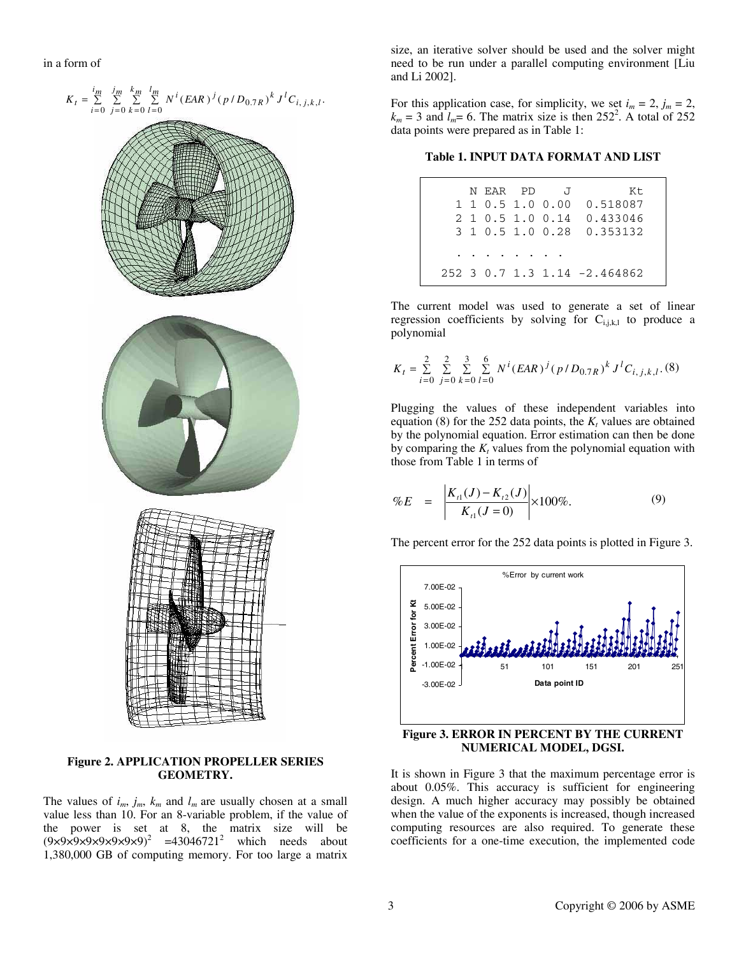

**Figure 2. APPLICATION PROPELLER SERIES GEOMETRY.** 

The values of  $i_m$ ,  $j_m$ ,  $k_m$  and  $l_m$  are usually chosen at a small value less than 10. For an 8-variable problem, if the value of the power is set at 8, the matrix size will be  $(9 \times 9 \times 9 \times 9 \times 9 \times 9 \times 9)^2$  =43046721<sup>2</sup> which needs about 1,380,000 GB of computing memory. For too large a matrix

size, an iterative solver should be used and the solver might need to be run under a parallel computing environment [Liu and Li 2002].

For this application case, for simplicity, we set  $i_m = 2$ ,  $j_m = 2$ ,  $k_m = 3$  and  $l_m = 6$ . The matrix size is then 252<sup>2</sup>. A total of 252 data points were prepared as in Table 1:

**Table 1. INPUT DATA FORMAT AND LIST** 

|  |   | NEARPD J | Kt                           |
|--|---|----------|------------------------------|
|  |   |          | 1 1 0.5 1.0 0.00 0.518087    |
|  |   |          | 2 1 0.5 1.0 0.14 0.433046    |
|  |   |          | 3 1 0.5 1.0 0.28 0.353132    |
|  |   |          |                              |
|  | . |          |                              |
|  |   |          | 252 3 0.7 1.3 1.14 -2.464862 |

The current model was used to generate a set of linear regression coefficients by solving for  $C_{i,j,k,l}$  to produce a polynomial

$$
K_{t} = \sum_{i=0}^{2} \sum_{j=0}^{2} \sum_{k=0}^{3} \sum_{l=0}^{6} N^{i} (EAR)^{j} (p/D_{0.7R})^{k} J^{l} C_{i, j, k, l}. (8)
$$

Plugging the values of these independent variables into equation (8) for the 252 data points, the  $K_t$  values are obtained by the polynomial equation. Error estimation can then be done by comparing the  $K_t$  values from the polynomial equation with those from Table 1 in terms of

$$
\%E = \left| \frac{K_{t1}(J) - K_{t2}(J)}{K_{t1}(J=0)} \right| \times 100\%.
$$
 (9)

The percent error for the 252 data points is plotted in Figure 3.



**Figure 3. ERROR IN PERCENT BY THE CURRENT NUMERICAL MODEL, DGSI.** 

It is shown in Figure 3 that the maximum percentage error is about 0.05%. This accuracy is sufficient for engineering design. A much higher accuracy may possibly be obtained when the value of the exponents is increased, though increased computing resources are also required. To generate these coefficients for a one-time execution, the implemented code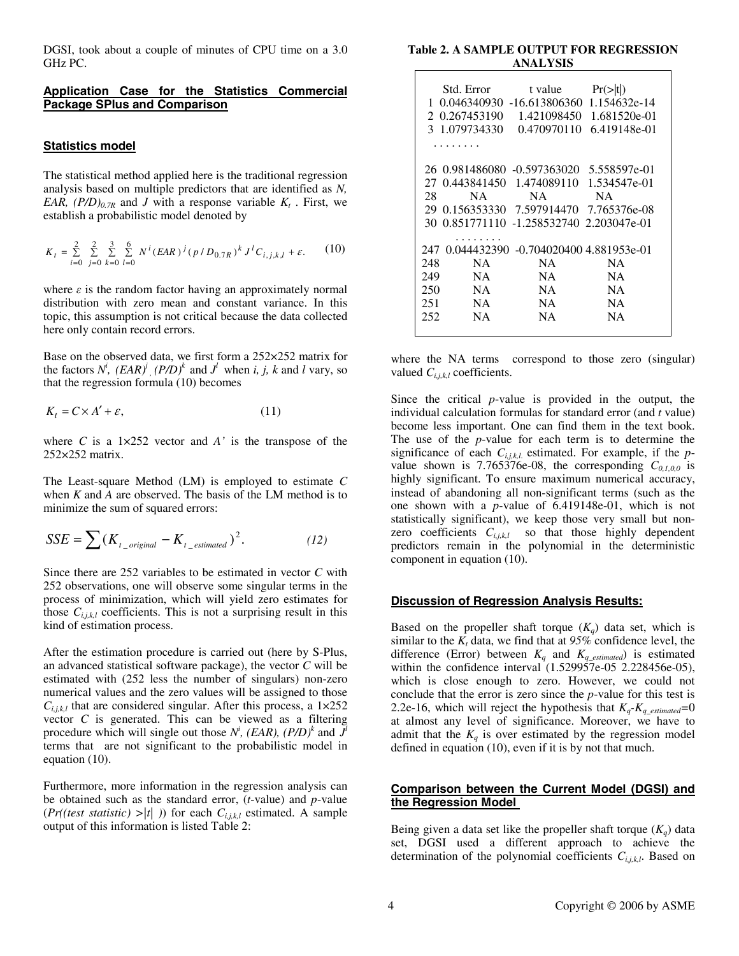DGSI, took about a couple of minutes of CPU time on a 3.0 GHz PC.

#### **Application Case for the Statistics Commercial Package SPlus and Comparison**

## **Statistics model**

The statistical method applied here is the traditional regression analysis based on multiple predictors that are identified as *N, EAR,*  $(P/D)_{0.7R}$  and *J* with a response variable  $K_t$ . First, we establish a probabilistic model denoted by

$$
K_{t} = \sum_{i=0}^{2} \sum_{j=0}^{2} \sum_{k=0}^{3} \sum_{l=0}^{6} N^{i} (EAR)^{j} (p/D_{0.7R})^{k} J^{l} C_{i,j,k,l} + \varepsilon.
$$
 (10)

where  $\varepsilon$  is the random factor having an approximately normal distribution with zero mean and constant variance. In this topic, this assumption is not critical because the data collected here only contain record errors.

Base on the observed data, we first form a 252×252 matrix for the factors  $N^i$ ,  $(EAR)^j$ ,  $(P/D)^k$  and  $J^l$  when *i, j, k* and *l* vary, so that the regression formula (10) becomes

$$
K_t = C \times A' + \varepsilon,\tag{11}
$$

where *C* is a  $1 \times 252$  vector and *A'* is the transpose of the 252×252 matrix.

The Least-square Method (LM) is employed to estimate *C* when *K* and *A* are observed. The basis of the LM method is to minimize the sum of squared errors:

$$
SSE = \sum (K_{t\_original} - K_{t\_estimated})^2.
$$
 (12)

Since there are 252 variables to be estimated in vector *C* with 252 observations, one will observe some singular terms in the process of minimization, which will yield zero estimates for those  $C_{i,i,k,l}$  coefficients. This is not a surprising result in this kind of estimation process.

After the estimation procedure is carried out (here by S-Plus, an advanced statistical software package), the vector *C* will be estimated with (252 less the number of singulars) non-zero numerical values and the zero values will be assigned to those  $C_{i,j,k,l}$  that are considered singular. After this process, a  $1\times252$ vector *C* is generated. This can be viewed as a filtering procedure which will single out those  $N^i$ , (EAR), (P/D)<sup>*k*</sup> and  $\bar{J}^i$ terms that are not significant to the probabilistic model in equation (10).

Furthermore, more information in the regression analysis can be obtained such as the standard error, (*t*-value) and *p*-value  $Pr((test statistic) > |t|)$  for each  $C_{i,j,k,l}$  estimated. A sample output of this information is listed Table 2:

#### **Table 2. A SAMPLE OUTPUT FOR REGRESSION ANALYSIS**

| 1                                      | Std. Error<br>2 0.267453190<br>3 1.079734330                           | t value<br>0.046340930 -16.613806360<br>1.421098450<br>0.470970110                                 | $Pr(>\vert t \vert)$<br>1.154632e-14<br>1.681520e-01<br>6.419148e-01      |
|----------------------------------------|------------------------------------------------------------------------|----------------------------------------------------------------------------------------------------|---------------------------------------------------------------------------|
| 27<br>28<br>29<br>30                   | 0.443841450<br><b>NA</b><br>0.851771110                                | 26 0.981486080 -0.597363020<br>1.474089110<br><b>NA</b><br>0.156353330 7.597914470<br>-1.258532740 | 5.558597e-01<br>1.534547e-01<br><b>NA</b><br>7.765376e-08<br>2.203047e-01 |
| 247<br>248<br>249<br>250<br>251<br>252 | 0.044432390<br>NA.<br><b>NA</b><br><b>NA</b><br><b>NA</b><br><b>NA</b> | -0.704020400 4.881953e-01<br>NA<br><b>NA</b><br><b>NA</b><br><b>NA</b><br><b>NA</b>                | NA<br>NA<br>NA<br><b>NA</b><br>NΑ                                         |

where the NA terms correspond to those zero (singular) valued  $C_{i,j,k,l}$  coefficients.

Since the critical *p*-value is provided in the output, the individual calculation formulas for standard error (and *t* value) become less important. One can find them in the text book. The use of the *p*-value for each term is to determine the significance of each  $C_{i,j,k,l}$  estimated. For example, if the  $p$ value shown is 7.765376e-08, the corresponding  $C_{0,1,0,0}$  is highly significant. To ensure maximum numerical accuracy, instead of abandoning all non-significant terms (such as the one shown with a *p*-value of 6.419148e-01, which is not statistically significant), we keep those very small but nonzero coefficients  $C_{i,j,k,l}$  so that those highly dependent predictors remain in the polynomial in the deterministic component in equation (10).

# **Discussion of Regression Analysis Results:**

Based on the propeller shaft torque  $(K_a)$  data set, which is similar to the  $K_t$  data, we find that at  $95\%$  confidence level, the difference (Error) between  $K_q$  and  $K_{q\_estimated}$ ) is estimated within the confidence interval  $(1.529957e-05)$  2.228456e-05), which is close enough to zero. However, we could not conclude that the error is zero since the *p*-value for this test is 2.2e-16, which will reject the hypothesis that  $K_q$ - $K_{q\_estimated}$ =0 at almost any level of significance. Moreover, we have to admit that the  $K_q$  is over estimated by the regression model defined in equation (10), even if it is by not that much.

## **Comparison between the Current Model (DGSI) and the Regression Model**

Being given a data set like the propeller shaft torque  $(K_q)$  data set, DGSI used a different approach to achieve the determination of the polynomial coefficients *Ci,j,k,l*. Based on